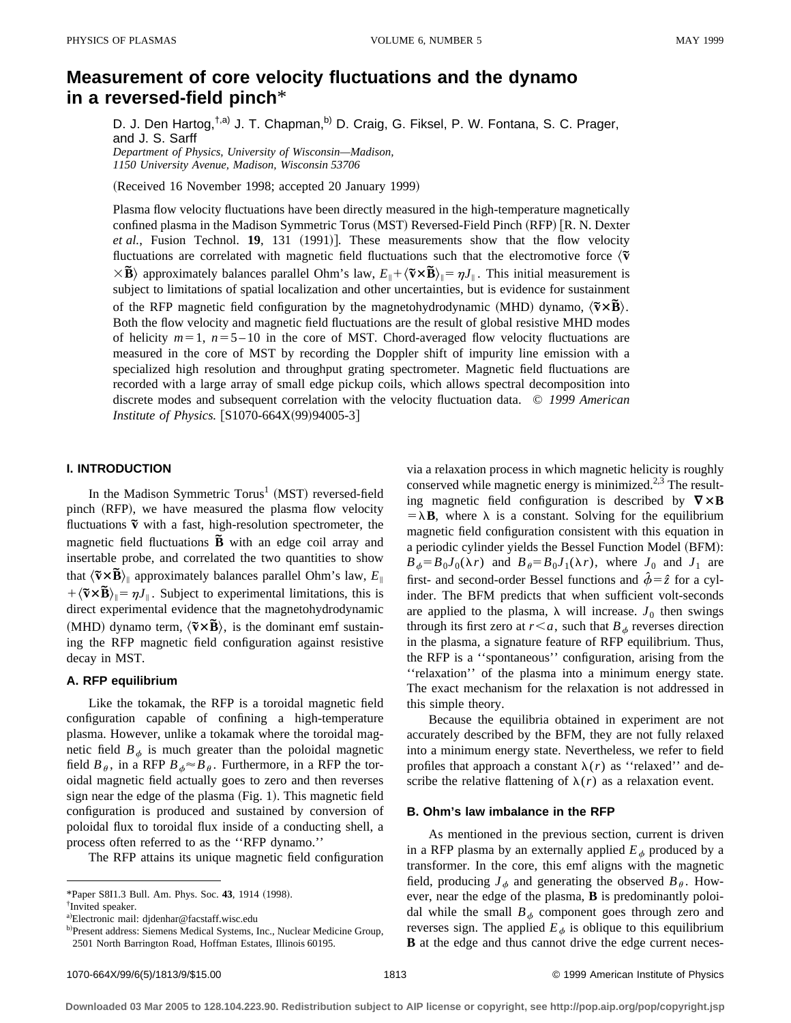# **Measurement of core velocity fluctuations and the dynamo in a reversed-field pinch**\*

D. J. Den Hartog,<sup>†,a)</sup> J. T. Chapman,<sup>b)</sup> D. Craig, G. Fiksel, P. W. Fontana, S. C. Prager, and J. S. Sarff *Department of Physics, University of Wisconsin—Madison,*

*1150 University Avenue, Madison, Wisconsin 53706*

(Received 16 November 1998; accepted 20 January 1999)

Plasma flow velocity fluctuations have been directly measured in the high-temperature magnetically confined plasma in the Madison Symmetric Torus (MST) Reversed-Field Pinch (RFP) [R. N. Dexter *et al.*, Fusion Technol. **19**, 131 (1991)]. These measurements show that the flow velocity fluctuations are correlated with magnetic field fluctuations such that the electromotive force  $\langle \tilde{\mathbf{v}} \rangle$  $\times$ **B** $\overrightarrow{B}$  approximately balances parallel Ohm's law,  $E_{\parallel} + \langle \overrightarrow{\bf{v}} \times \overrightarrow{\bf{B}} \rangle_{\parallel} = \eta J_{\parallel}$ . This initial measurement is subject to limitations of spatial localization and other uncertainties, but is evidence for sustainment of the RFP magnetic field configuration by the magnetohydrodynamic (MHD) dynamo,  $\langle \tilde{v} \times \tilde{B} \rangle$ . Both the flow velocity and magnetic field fluctuations are the result of global resistive MHD modes of helicity  $m=1$ ,  $n=5-10$  in the core of MST. Chord-averaged flow velocity fluctuations are measured in the core of MST by recording the Doppler shift of impurity line emission with a specialized high resolution and throughput grating spectrometer. Magnetic field fluctuations are recorded with a large array of small edge pickup coils, which allows spectral decomposition into discrete modes and subsequent correlation with the velocity fluctuation data. © *1999 American Institute of Physics.*  $[S1070-664X(99)94005-3]$ 

## **I. INTRODUCTION**

In the Madison Symmetric Torus<sup>1</sup> (MST) reversed-field pinch (RFP), we have measured the plasma flow velocity fluctuations  $\tilde{v}$  with a fast, high-resolution spectrometer, the magnetic field fluctuations **B** with an edge coil array and insertable probe, and correlated the two quantities to show that  $\langle \tilde{\mathbf{v}} \times \tilde{\mathbf{B}} \rangle_{\parallel}$  approximately balances parallel Ohm's law,  $E_{\parallel}$  $+\langle \tilde{v} \times \tilde{B} \rangle_{\parallel} = \eta J_{\parallel}$ . Subject to experimental limitations, this is direct experimental evidence that the magnetohydrodynamic (MHD) dynamo term,  $\langle \tilde{v} \times \tilde{B} \rangle$ , is the dominant emf sustaining the RFP magnetic field configuration against resistive decay in MST.

#### **A. RFP equilibrium**

Like the tokamak, the RFP is a toroidal magnetic field configuration capable of confining a high-temperature plasma. However, unlike a tokamak where the toroidal magnetic field  $B_{\phi}$  is much greater than the poloidal magnetic field  $B_\theta$ , in a RFP  $B_\phi \approx B_\theta$ . Furthermore, in a RFP the toroidal magnetic field actually goes to zero and then reverses sign near the edge of the plasma  $(Fig. 1)$ . This magnetic field configuration is produced and sustained by conversion of poloidal flux to toroidal flux inside of a conducting shell, a process often referred to as the ''RFP dynamo.''

The RFP attains its unique magnetic field configuration

via a relaxation process in which magnetic helicity is roughly conserved while magnetic energy is minimized.<sup>2,3</sup> The resulting magnetic field configuration is described by  $\nabla \times \mathbf{B}$  $= \lambda \mathbf{B}$ , where  $\lambda$  is a constant. Solving for the equilibrium magnetic field configuration consistent with this equation in a periodic cylinder yields the Bessel Function Model (BFM):  $B_{\phi} = B_0 J_0(\lambda r)$  and  $B_{\theta} = B_0 J_1(\lambda r)$ , where  $J_0$  and  $J_1$  are first- and second-order Bessel functions and  $\hat{\phi} = \hat{z}$  for a cylinder. The BFM predicts that when sufficient volt-seconds are applied to the plasma,  $\lambda$  will increase.  $J_0$  then swings through its first zero at  $r < a$ , such that  $B_{\phi}$  reverses direction in the plasma, a signature feature of RFP equilibrium. Thus, the RFP is a ''spontaneous'' configuration, arising from the ''relaxation'' of the plasma into a minimum energy state. The exact mechanism for the relaxation is not addressed in this simple theory.

Because the equilibria obtained in experiment are not accurately described by the BFM, they are not fully relaxed into a minimum energy state. Nevertheless, we refer to field profiles that approach a constant  $\lambda(r)$  as "relaxed" and describe the relative flattening of  $\lambda(r)$  as a relaxation event.

#### **B. Ohm's law imbalance in the RFP**

As mentioned in the previous section, current is driven in a RFP plasma by an externally applied  $E_{\phi}$  produced by a transformer. In the core, this emf aligns with the magnetic field, producing  $J_{\phi}$  and generating the observed  $B_{\theta}$ . However, near the edge of the plasma, **B** is predominantly poloidal while the small  $B_{\phi}$  component goes through zero and reverses sign. The applied  $E_{\phi}$  is oblique to this equilibrium **B** at the edge and thus cannot drive the edge current neces-

<sup>\*</sup>Paper S8I1.3 Bull. Am. Phys. Soc. 43, 1914 (1998).

<sup>†</sup> Invited speaker.

a)Electronic mail: djdenhar@facstaff.wisc.edu

b)Present address: Siemens Medical Systems, Inc., Nuclear Medicine Group, 2501 North Barrington Road, Hoffman Estates, Illinois 60195.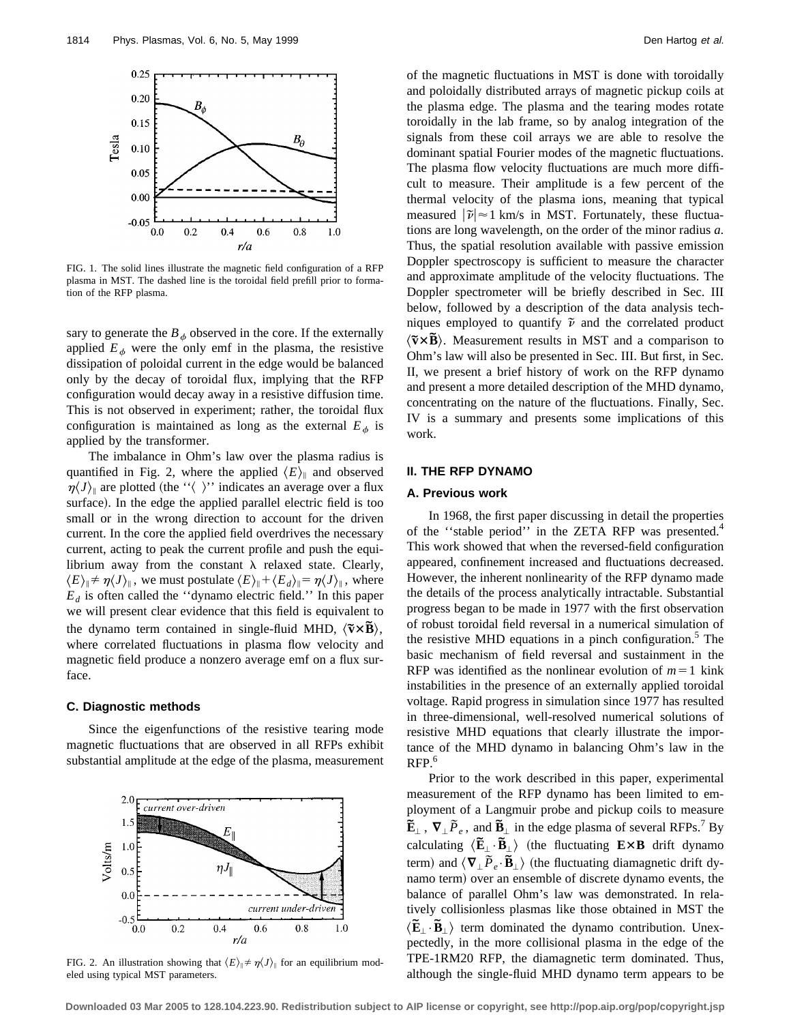

FIG. 1. The solid lines illustrate the magnetic field configuration of a RFP plasma in MST. The dashed line is the toroidal field prefill prior to formation of the RFP plasma.

sary to generate the  $B_{\phi}$  observed in the core. If the externally applied  $E_{\phi}$  were the only emf in the plasma, the resistive dissipation of poloidal current in the edge would be balanced only by the decay of toroidal flux, implying that the RFP configuration would decay away in a resistive diffusion time. This is not observed in experiment; rather, the toroidal flux configuration is maintained as long as the external  $E_{\phi}$  is applied by the transformer.

The imbalance in Ohm's law over the plasma radius is quantified in Fig. 2, where the applied  $\langle E \rangle$  and observed  $\eta\langle J \rangle_{\parallel}$  are plotted (the ''\calculude )'' indicates an average over a flux surface). In the edge the applied parallel electric field is too small or in the wrong direction to account for the driven current. In the core the applied field overdrives the necessary current, acting to peak the current profile and push the equilibrium away from the constant  $\lambda$  relaxed state. Clearly,  $\langle E \rangle_{\parallel} \neq \eta \langle J \rangle_{\parallel}$ , we must postulate  $\langle E \rangle_{\parallel} + \langle E_d \rangle_{\parallel} = \eta \langle J \rangle_{\parallel}$ , where  $E_d$  is often called the "dynamo electric field." In this paper we will present clear evidence that this field is equivalent to the dynamo term contained in single-fluid MHD,  $\langle \tilde{\mathbf{v}} \times \mathbf{B} \rangle$ , where correlated fluctuations in plasma flow velocity and magnetic field produce a nonzero average emf on a flux surface.

## **C. Diagnostic methods**

Since the eigenfunctions of the resistive tearing mode magnetic fluctuations that are observed in all RFPs exhibit substantial amplitude at the edge of the plasma, measurement



FIG. 2. An illustration showing that  $\langle E \rangle_{\parallel} \neq \eta \langle J \rangle_{\parallel}$  for an equilibrium modeled using typical MST parameters.

of the magnetic fluctuations in MST is done with toroidally and poloidally distributed arrays of magnetic pickup coils at the plasma edge. The plasma and the tearing modes rotate toroidally in the lab frame, so by analog integration of the signals from these coil arrays we are able to resolve the dominant spatial Fourier modes of the magnetic fluctuations. The plasma flow velocity fluctuations are much more difficult to measure. Their amplitude is a few percent of the thermal velocity of the plasma ions, meaning that typical measured  $|\tilde{v}| \approx 1$  km/s in MST. Fortunately, these fluctuations are long wavelength, on the order of the minor radius *a*. Thus, the spatial resolution available with passive emission Doppler spectroscopy is sufficient to measure the character and approximate amplitude of the velocity fluctuations. The Doppler spectrometer will be briefly described in Sec. III below, followed by a description of the data analysis techniques employed to quantify  $\tilde{\nu}$  and the correlated product  $\langle \tilde{v} \times \tilde{B} \rangle$ . Measurement results in MST and a comparison to Ohm's law will also be presented in Sec. III. But first, in Sec. II, we present a brief history of work on the RFP dynamo and present a more detailed description of the MHD dynamo, concentrating on the nature of the fluctuations. Finally, Sec. IV is a summary and presents some implications of this work.

#### **II. THE RFP DYNAMO**

#### **A. Previous work**

In 1968, the first paper discussing in detail the properties of the "stable period" in the ZETA RFP was presented.<sup>4</sup> This work showed that when the reversed-field configuration appeared, confinement increased and fluctuations decreased. However, the inherent nonlinearity of the RFP dynamo made the details of the process analytically intractable. Substantial progress began to be made in 1977 with the first observation of robust toroidal field reversal in a numerical simulation of the resistive MHD equations in a pinch configuration.<sup>5</sup> The basic mechanism of field reversal and sustainment in the RFP was identified as the nonlinear evolution of  $m=1$  kink instabilities in the presence of an externally applied toroidal voltage. Rapid progress in simulation since 1977 has resulted in three-dimensional, well-resolved numerical solutions of resistive MHD equations that clearly illustrate the importance of the MHD dynamo in balancing Ohm's law in the RFP.<sup>6</sup>

Prior to the work described in this paper, experimental measurement of the RFP dynamo has been limited to employment of a Langmuir probe and pickup coils to measure  $\mathbf{\tilde{E}}_{\perp}$ ,  $\mathbf{\nabla}_{\perp} \tilde{P}_e$ , and  $\mathbf{\tilde{B}}_{\perp}$  in the edge plasma of several RFPs.<sup>7</sup> By calculating  $\langle \mathbf{\tilde{E}}_{\perp} \cdot \mathbf{\tilde{B}}_{\perp} \rangle$  (the fluctuating  $\mathbf{E} \times \mathbf{B}$  drift dynamo term) and  $\langle \nabla_{\perp} \tilde{P}_e \cdot \tilde{B}_{\perp} \rangle$  (the fluctuating diamagnetic drift dynamo term) over an ensemble of discrete dynamo events, the balance of parallel Ohm's law was demonstrated. In relatively collisionless plasmas like those obtained in MST the  $\langle \mathbf{\tilde{E}}_{\perp} \cdot \mathbf{\tilde{B}}_{\perp} \rangle$  term dominated the dynamo contribution. Unexpectedly, in the more collisional plasma in the edge of the TPE-1RM20 RFP, the diamagnetic term dominated. Thus, although the single-fluid MHD dynamo term appears to be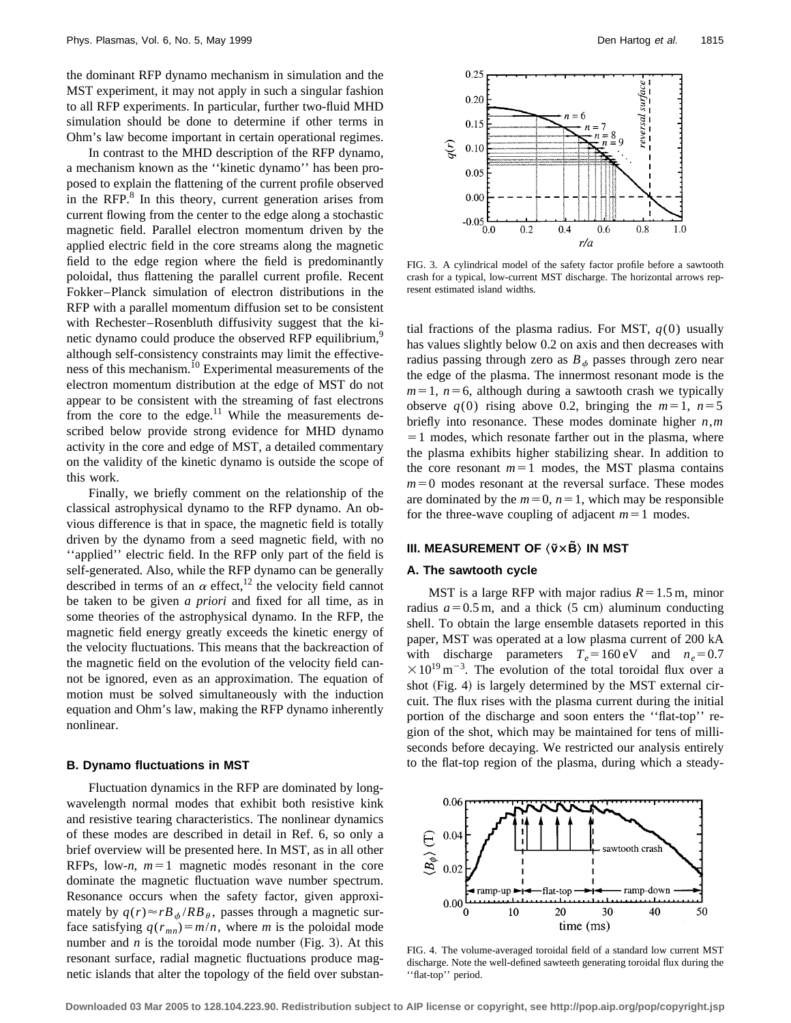the dominant RFP dynamo mechanism in simulation and the MST experiment, it may not apply in such a singular fashion to all RFP experiments. In particular, further two-fluid MHD simulation should be done to determine if other terms in Ohm's law become important in certain operational regimes.

In contrast to the MHD description of the RFP dynamo, a mechanism known as the ''kinetic dynamo'' has been proposed to explain the flattening of the current profile observed in the RFP. $8$  In this theory, current generation arises from current flowing from the center to the edge along a stochastic magnetic field. Parallel electron momentum driven by the applied electric field in the core streams along the magnetic field to the edge region where the field is predominantly poloidal, thus flattening the parallel current profile. Recent Fokker–Planck simulation of electron distributions in the RFP with a parallel momentum diffusion set to be consistent with Rechester–Rosenbluth diffusivity suggest that the kinetic dynamo could produce the observed RFP equilibrium,<sup>9</sup> although self-consistency constraints may limit the effectiveness of this mechanism.<sup>10</sup> Experimental measurements of the electron momentum distribution at the edge of MST do not appear to be consistent with the streaming of fast electrons from the core to the edge. $11$  While the measurements described below provide strong evidence for MHD dynamo activity in the core and edge of MST, a detailed commentary on the validity of the kinetic dynamo is outside the scope of this work.

Finally, we briefly comment on the relationship of the classical astrophysical dynamo to the RFP dynamo. An obvious difference is that in space, the magnetic field is totally driven by the dynamo from a seed magnetic field, with no ''applied'' electric field. In the RFP only part of the field is self-generated. Also, while the RFP dynamo can be generally described in terms of an  $\alpha$  effect,<sup>12</sup> the velocity field cannot be taken to be given *a priori* and fixed for all time, as in some theories of the astrophysical dynamo. In the RFP, the magnetic field energy greatly exceeds the kinetic energy of the velocity fluctuations. This means that the backreaction of the magnetic field on the evolution of the velocity field cannot be ignored, even as an approximation. The equation of motion must be solved simultaneously with the induction equation and Ohm's law, making the RFP dynamo inherently nonlinear.

#### **B. Dynamo fluctuations in MST**

Fluctuation dynamics in the RFP are dominated by longwavelength normal modes that exhibit both resistive kink and resistive tearing characteristics. The nonlinear dynamics of these modes are described in detail in Ref. 6, so only a brief overview will be presented here. In MST, as in all other RFPs, low-*n*,  $m=1$  magnetic modes resonant in the core dominate the magnetic fluctuation wave number spectrum. Resonance occurs when the safety factor, given approximately by  $q(r) \approx rB_{\phi}/RB_{\theta}$ , passes through a magnetic surface satisfying  $q(r_{mn}) = m/n$ , where *m* is the poloidal mode number and  $n$  is the toroidal mode number (Fig. 3). At this resonant surface, radial magnetic fluctuations produce magnetic islands that alter the topology of the field over substan-



FIG. 3. A cylindrical model of the safety factor profile before a sawtooth crash for a typical, low-current MST discharge. The horizontal arrows represent estimated island widths.

tial fractions of the plasma radius. For MST,  $q(0)$  usually has values slightly below 0.2 on axis and then decreases with radius passing through zero as  $B_{\phi}$  passes through zero near the edge of the plasma. The innermost resonant mode is the  $m=1$ ,  $n=6$ , although during a sawtooth crash we typically observe  $q(0)$  rising above 0.2, bringing the  $m=1$ ,  $n=5$ briefly into resonance. These modes dominate higher *n*,*m*  $=1$  modes, which resonate farther out in the plasma, where the plasma exhibits higher stabilizing shear. In addition to the core resonant  $m=1$  modes, the MST plasma contains  $m=0$  modes resonant at the reversal surface. These modes are dominated by the  $m=0$ ,  $n=1$ , which may be responsible for the three-wave coupling of adjacent  $m=1$  modes.

#### **III. MEASUREMENT OF**  $\langle \tilde{v} \times \tilde{B} \rangle$  **in MST**

#### **A. The sawtooth cycle**

MST is a large RFP with major radius  $R=1.5$  m, minor radius  $a=0.5$  m, and a thick  $(5 \text{ cm})$  aluminum conducting shell. To obtain the large ensemble datasets reported in this paper, MST was operated at a low plasma current of 200 kA with discharge parameters  $T_e = 160 \text{ eV}$  and  $n_e = 0.7$  $\times 10^{19}$  m<sup>-3</sup>. The evolution of the total toroidal flux over a shot  $(Fig. 4)$  is largely determined by the MST external circuit. The flux rises with the plasma current during the initial portion of the discharge and soon enters the ''flat-top'' region of the shot, which may be maintained for tens of milliseconds before decaying. We restricted our analysis entirely to the flat-top region of the plasma, during which a steady-



FIG. 4. The volume-averaged toroidal field of a standard low current MST discharge. Note the well-defined sawteeth generating toroidal flux during the ''flat-top'' period.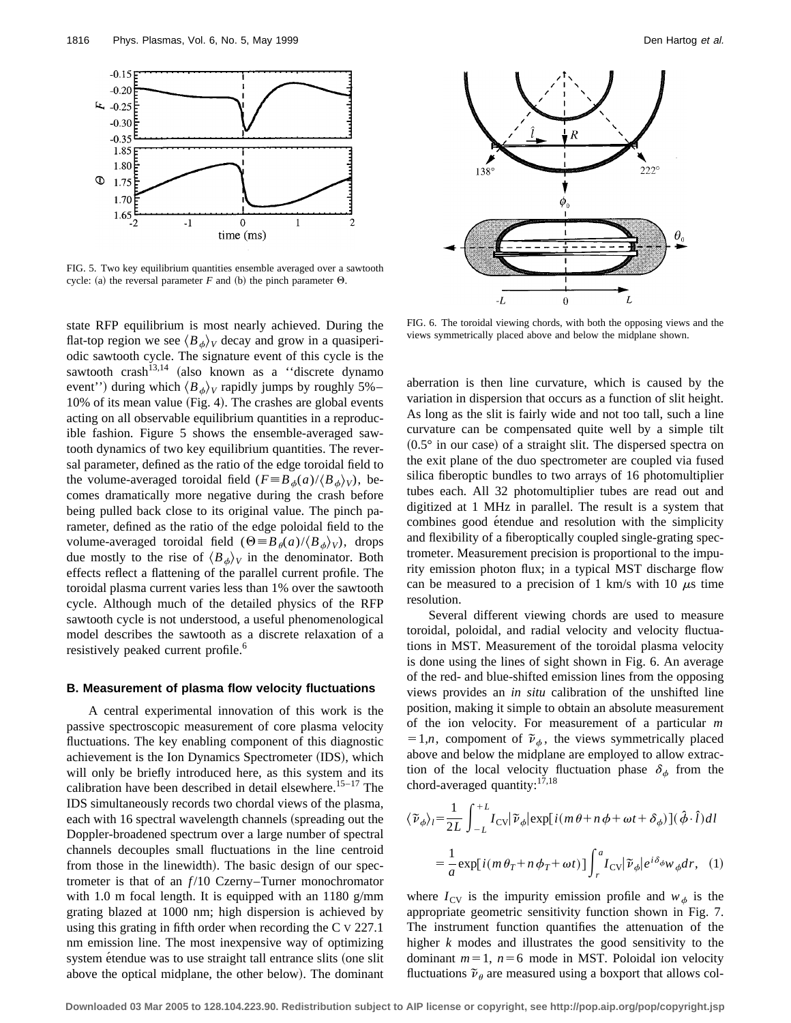

FIG. 5. Two key equilibrium quantities ensemble averaged over a sawtooth cycle: (a) the reversal parameter *F* and (b) the pinch parameter  $\Theta$ .

state RFP equilibrium is most nearly achieved. During the flat-top region we see  $\langle B_{\phi}\rangle_V$  decay and grow in a quasiperiodic sawtooth cycle. The signature event of this cycle is the sawtooth crash<sup>13,14</sup> (also known as a "discrete dynamo") event'') during which  $\langle B_{\phi} \rangle_V$  rapidly jumps by roughly 5%– 10% of its mean value (Fig. 4). The crashes are global events acting on all observable equilibrium quantities in a reproducible fashion. Figure 5 shows the ensemble-averaged sawtooth dynamics of two key equilibrium quantities. The reversal parameter, defined as the ratio of the edge toroidal field to the volume-averaged toroidal field  $(F \equiv B_{\phi}(a)/\langle B_{\phi} \rangle_V)$ , becomes dramatically more negative during the crash before being pulled back close to its original value. The pinch parameter, defined as the ratio of the edge poloidal field to the volume-averaged toroidal field  $(\Theta \equiv B_\theta(a)/\langle B_\phi \rangle_V)$ , drops due mostly to the rise of  $\langle B_{\phi}\rangle_V$  in the denominator. Both effects reflect a flattening of the parallel current profile. The toroidal plasma current varies less than 1% over the sawtooth cycle. Although much of the detailed physics of the RFP sawtooth cycle is not understood, a useful phenomenological model describes the sawtooth as a discrete relaxation of a resistively peaked current profile.<sup>6</sup>

#### **B. Measurement of plasma flow velocity fluctuations**

A central experimental innovation of this work is the passive spectroscopic measurement of core plasma velocity fluctuations. The key enabling component of this diagnostic achievement is the Ion Dynamics Spectrometer (IDS), which will only be briefly introduced here, as this system and its calibration have been described in detail elsewhere.<sup>15-17</sup> The IDS simultaneously records two chordal views of the plasma, each with 16 spectral wavelength channels (spreading out the Doppler-broadened spectrum over a large number of spectral channels decouples small fluctuations in the line centroid from those in the linewidth). The basic design of our spectrometer is that of an  $f/10$  Czerny–Turner monochromator with 1.0 m focal length. It is equipped with an 1180 g/mm grating blazed at 1000 nm; high dispersion is achieved by using this grating in fifth order when recording the C V 227.1 nm emission line. The most inexpensive way of optimizing system étendue was to use straight tall entrance slits (one slit above the optical midplane, the other below). The dominant



FIG. 6. The toroidal viewing chords, with both the opposing views and the views symmetrically placed above and below the midplane shown.

aberration is then line curvature, which is caused by the variation in dispersion that occurs as a function of slit height. As long as the slit is fairly wide and not too tall, such a line curvature can be compensated quite well by a simple tilt  $(0.5^\circ$  in our case) of a straight slit. The dispersed spectra on the exit plane of the duo spectrometer are coupled via fused silica fiberoptic bundles to two arrays of 16 photomultiplier tubes each. All 32 photomultiplier tubes are read out and digitized at 1 MHz in parallel. The result is a system that combines good étendue and resolution with the simplicity and flexibility of a fiberoptically coupled single-grating spectrometer. Measurement precision is proportional to the impurity emission photon flux; in a typical MST discharge flow can be measured to a precision of 1 km/s with 10  $\mu$ s time resolution.

Several different viewing chords are used to measure toroidal, poloidal, and radial velocity and velocity fluctuations in MST. Measurement of the toroidal plasma velocity is done using the lines of sight shown in Fig. 6. An average of the red- and blue-shifted emission lines from the opposing views provides an *in situ* calibration of the unshifted line position, making it simple to obtain an absolute measurement of the ion velocity. For measurement of a particular *m*  $=1,n$ , compoment of  $\tilde{\nu}_\phi$ , the views symmetrically placed above and below the midplane are employed to allow extraction of the local velocity fluctuation phase  $\delta_{\phi}$  from the chord-averaged quantity:<sup>17,18</sup>

$$
\langle \tilde{\nu}_{\phi} \rangle_{l} = \frac{1}{2L} \int_{-L}^{+L} I_{\text{CV}} |\tilde{\nu}_{\phi}| \exp[i(m\theta + n\phi + \omega t + \delta_{\phi})](\hat{\phi} \cdot \hat{l}) dl
$$
  

$$
= \frac{1}{a} \exp[i(m\theta_{T} + n\phi_{T} + \omega t)] \int_{r}^{a} I_{\text{CV}} |\tilde{\nu}_{\phi}| e^{i\delta_{\phi} w} \phi dr, \quad (1)
$$

where  $I_{CV}$  is the impurity emission profile and  $w_{\phi}$  is the appropriate geometric sensitivity function shown in Fig. 7. The instrument function quantifies the attenuation of the higher *k* modes and illustrates the good sensitivity to the dominant  $m=1$ ,  $n=6$  mode in MST. Poloidal ion velocity fluctuations  $\tilde{\nu}_{\theta}$  are measured using a boxport that allows col-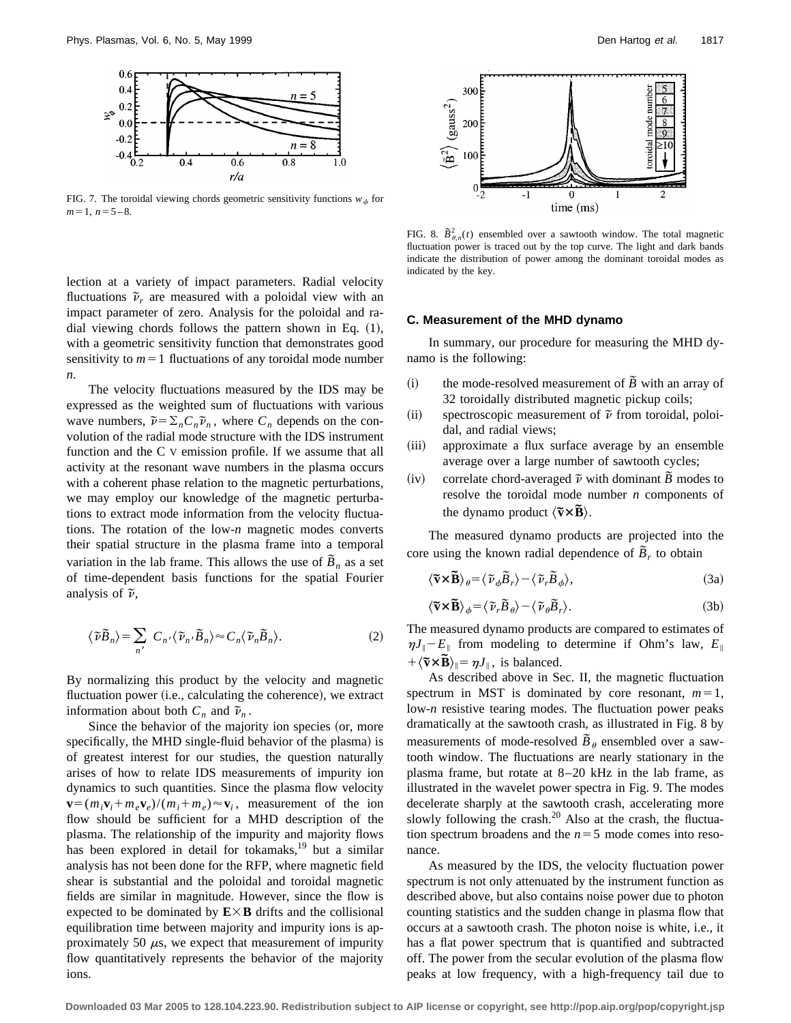

FIG. 7. The toroidal viewing chords geometric sensitivity functions  $w_{\phi}$  for  $m=1$ ,  $n=5-8$ .

lection at a variety of impact parameters. Radial velocity fluctuations  $\tilde{\nu}_r$  are measured with a poloidal view with an impact parameter of zero. Analysis for the poloidal and radial viewing chords follows the pattern shown in Eq.  $(1)$ , with a geometric sensitivity function that demonstrates good sensitivity to  $m=1$  fluctuations of any toroidal mode number *n*.

The velocity fluctuations measured by the IDS may be expressed as the weighted sum of fluctuations with various wave numbers,  $\tilde{\nu} = \sum_n C_n \tilde{\nu}_n$ , where  $C_n$  depends on the convolution of the radial mode structure with the IDS instrument function and the C V emission profile. If we assume that all activity at the resonant wave numbers in the plasma occurs with a coherent phase relation to the magnetic perturbations, we may employ our knowledge of the magnetic perturbations to extract mode information from the velocity fluctuations. The rotation of the low-*n* magnetic modes converts their spatial structure in the plasma frame into a temporal variation in the lab frame. This allows the use of  $\tilde{B}_n$  as a set of time-dependent basis functions for the spatial Fourier analysis of  $\tilde{\nu}$ ,

$$
\langle \tilde{\nu}\tilde{B}_n\rangle = \sum_{n'} C_{n'} \langle \tilde{\nu}_{n'}\tilde{B}_n\rangle \approx C_n \langle \tilde{\nu}_n\tilde{B}_n\rangle.
$$
 (2)

By normalizing this product by the velocity and magnetic fluctuation power (i.e., calculating the coherence), we extract information about both  $C_n$  and  $\tilde{\nu}_n$ .

Since the behavior of the majority ion species (or, more specifically, the MHD single-fluid behavior of the plasma) is of greatest interest for our studies, the question naturally arises of how to relate IDS measurements of impurity ion dynamics to such quantities. Since the plasma flow velocity  $\mathbf{v} = (m_i \mathbf{v}_i + m_e \mathbf{v}_e)/(m_i + m_e) \approx \mathbf{v}_i$ , measurement of the ion flow should be sufficient for a MHD description of the plasma. The relationship of the impurity and majority flows has been explored in detail for tokamaks,<sup>19</sup> but a similar analysis has not been done for the RFP, where magnetic field shear is substantial and the poloidal and toroidal magnetic fields are similar in magnitude. However, since the flow is expected to be dominated by  $E \times B$  drifts and the collisional equilibration time between majority and impurity ions is approximately 50  $\mu$ s, we expect that measurement of impurity flow quantitatively represents the behavior of the majority ions.



FIG. 8.  $\tilde{B}_{\theta,n}^2(t)$  ensembled over a sawtooth window. The total magnetic fluctuation power is traced out by the top curve. The light and dark bands indicate the distribution of power among the dominant toroidal modes as indicated by the key.

#### **C. Measurement of the MHD dynamo**

In summary, our procedure for measuring the MHD dynamo is the following:

- (i) the mode-resolved measurement of  $\tilde{B}$  with an array of 32 toroidally distributed magnetic pickup coils;
- $(iii)$  spectroscopic measurement of  $\tilde{\nu}$  from toroidal, poloidal, and radial views;
- (iii) approximate a flux surface average by an ensemble average over a large number of sawtooth cycles;
- (iv) correlate chord-averaged  $\tilde{\nu}$  with dominant  $\tilde{B}$  modes to resolve the toroidal mode number *n* components of the dynamo product  $\langle \tilde{\mathbf{v}} \times \tilde{\mathbf{B}} \rangle$ .

The measured dynamo products are projected into the core using the known radial dependence of  $\tilde{B}_r$  to obtain

$$
\langle \widetilde{\mathbf{v}} \times \widetilde{\mathbf{B}} \rangle_{\theta} = \langle \widetilde{\nu}_{\phi} \widetilde{B}_r \rangle - \langle \widetilde{\nu}_r \widetilde{B}_{\phi} \rangle, \tag{3a}
$$

$$
\langle \widetilde{\mathbf{v}} \times \widetilde{\mathbf{B}} \rangle_{\phi} = \langle \widetilde{\nu}_{r} \widetilde{B}_{\theta} \rangle - \langle \widetilde{\nu}_{\theta} \widetilde{B}_{r} \rangle. \tag{3b}
$$

The measured dynamo products are compared to estimates of  $\eta J_{\parallel} - E_{\parallel}$  from modeling to determine if Ohm's law,  $E_{\parallel}$  $+\langle \tilde{v} \times \tilde{B} \rangle_{\parallel} = \eta J_{\parallel}$ , is balanced.

As described above in Sec. II, the magnetic fluctuation spectrum in MST is dominated by core resonant,  $m=1$ , low-*n* resistive tearing modes. The fluctuation power peaks dramatically at the sawtooth crash, as illustrated in Fig. 8 by measurements of mode-resolved  $\tilde{B}_{\theta}$  ensembled over a sawtooth window. The fluctuations are nearly stationary in the plasma frame, but rotate at 8–20 kHz in the lab frame, as illustrated in the wavelet power spectra in Fig. 9. The modes decelerate sharply at the sawtooth crash, accelerating more slowly following the crash.<sup>20</sup> Also at the crash, the fluctuation spectrum broadens and the  $n=5$  mode comes into resonance.

As measured by the IDS, the velocity fluctuation power spectrum is not only attenuated by the instrument function as described above, but also contains noise power due to photon counting statistics and the sudden change in plasma flow that occurs at a sawtooth crash. The photon noise is white, i.e., it has a flat power spectrum that is quantified and subtracted off. The power from the secular evolution of the plasma flow peaks at low frequency, with a high-frequency tail due to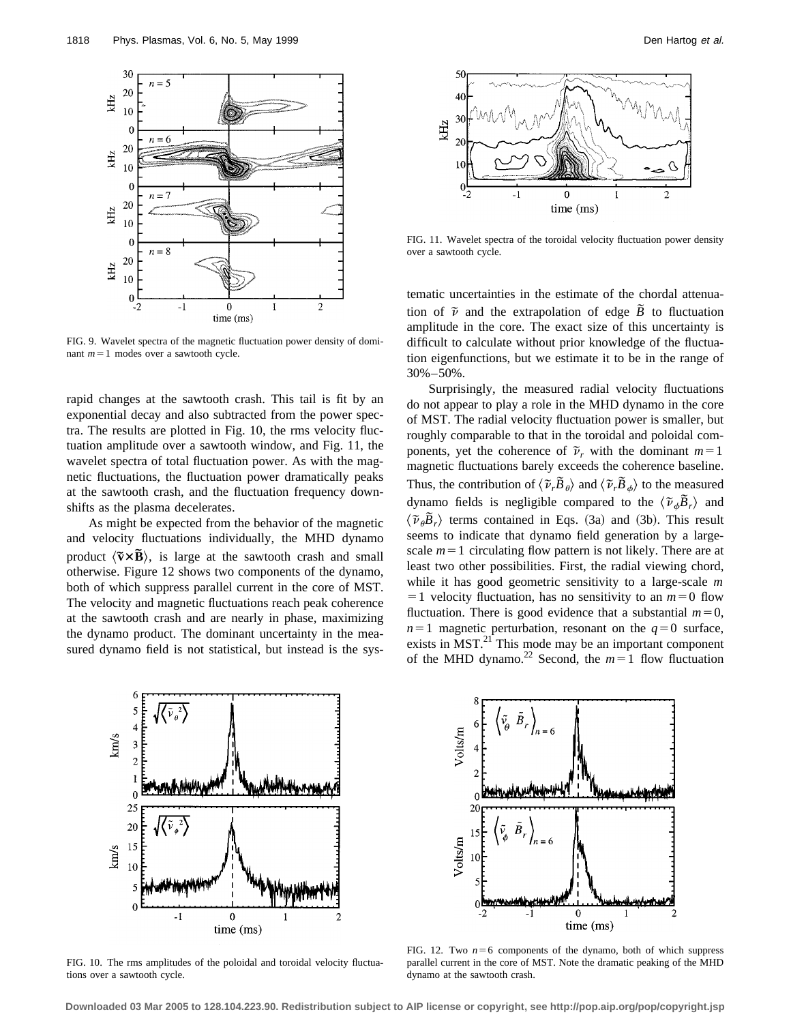

FIG. 9. Wavelet spectra of the magnetic fluctuation power density of dominant  $m=1$  modes over a sawtooth cycle.

rapid changes at the sawtooth crash. This tail is fit by an exponential decay and also subtracted from the power spectra. The results are plotted in Fig. 10, the rms velocity fluctuation amplitude over a sawtooth window, and Fig. 11, the wavelet spectra of total fluctuation power. As with the magnetic fluctuations, the fluctuation power dramatically peaks at the sawtooth crash, and the fluctuation frequency downshifts as the plasma decelerates.

As might be expected from the behavior of the magnetic and velocity fluctuations individually, the MHD dynamo product  $\langle \tilde{v} \times \tilde{B} \rangle$ , is large at the sawtooth crash and small otherwise. Figure 12 shows two components of the dynamo, both of which suppress parallel current in the core of MST. The velocity and magnetic fluctuations reach peak coherence at the sawtooth crash and are nearly in phase, maximizing the dynamo product. The dominant uncertainty in the measured dynamo field is not statistical, but instead is the sys-



FIG. 11. Wavelet spectra of the toroidal velocity fluctuation power density over a sawtooth cycle.

tematic uncertainties in the estimate of the chordal attenuation of  $\tilde{\nu}$  and the extrapolation of edge  $\tilde{B}$  to fluctuation amplitude in the core. The exact size of this uncertainty is difficult to calculate without prior knowledge of the fluctuation eigenfunctions, but we estimate it to be in the range of 30%–50%.

Surprisingly, the measured radial velocity fluctuations do not appear to play a role in the MHD dynamo in the core of MST. The radial velocity fluctuation power is smaller, but roughly comparable to that in the toroidal and poloidal components, yet the coherence of  $\tilde{\nu}_r$  with the dominant  $m=1$ magnetic fluctuations barely exceeds the coherence baseline. Thus, the contribution of  $\langle \tilde{\nu}, \tilde{B}_{\theta} \rangle$  and  $\langle \tilde{\nu}, \tilde{B}_{\phi} \rangle$  to the measured dynamo fields is negligible compared to the  $\langle \tilde{\nu}_{\phi} \tilde{B}_r \rangle$  and  $\langle \tilde{v}_{\theta} \tilde{B}_r \rangle$  terms contained in Eqs. (3a) and (3b). This result seems to indicate that dynamo field generation by a largescale  $m=1$  circulating flow pattern is not likely. There are at least two other possibilities. First, the radial viewing chord, while it has good geometric sensitivity to a large-scale *m*  $=1$  velocity fluctuation, has no sensitivity to an  $m=0$  flow fluctuation. There is good evidence that a substantial  $m=0$ ,  $n=1$  magnetic perturbation, resonant on the  $q=0$  surface, exists in MST.<sup>21</sup> This mode may be an important component of the MHD dynamo.<sup>22</sup> Second, the  $m=1$  flow fluctuation



FIG. 10. The rms amplitudes of the poloidal and toroidal velocity fluctuations over a sawtooth cycle.



FIG. 12. Two  $n=6$  components of the dynamo, both of which suppress parallel current in the core of MST. Note the dramatic peaking of the MHD dynamo at the sawtooth crash.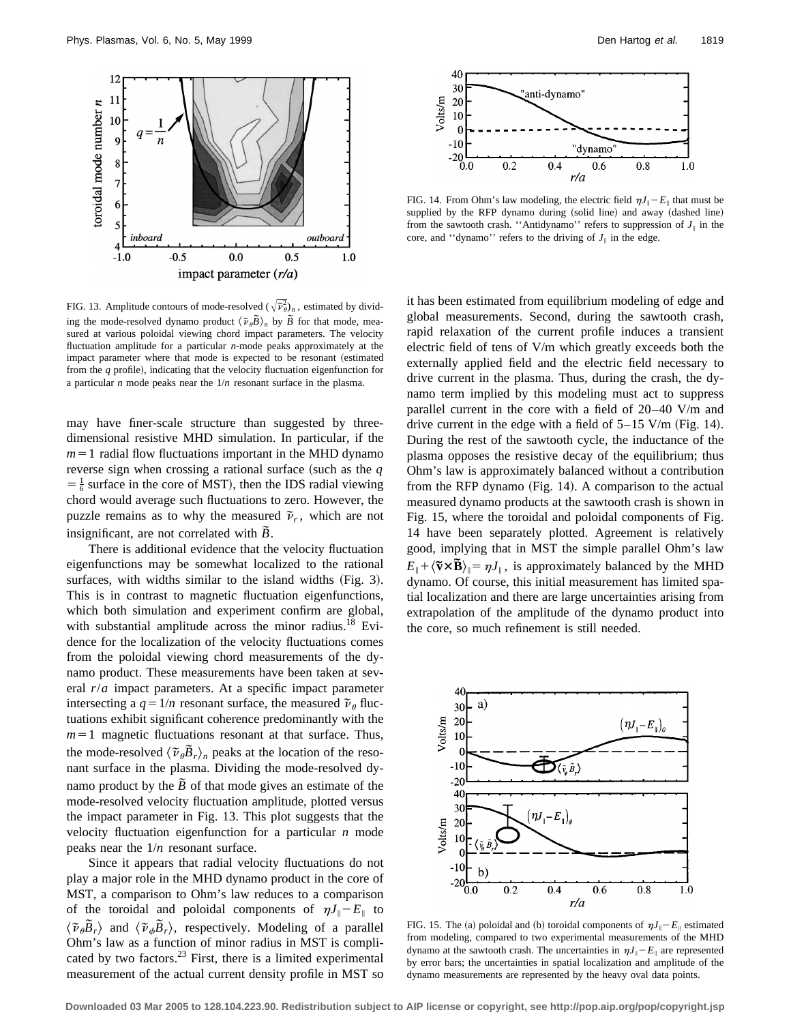

FIG. 13. Amplitude contours of mode-resolved  $(\sqrt{\tilde{\nu}_{\theta}})_{n}$ , estimated by dividing the mode-resolved dynamo product  $\langle \tilde{v}_{\theta} \tilde{B} \rangle_n$  by  $\tilde{B}$  for that mode, measured at various poloidal viewing chord impact parameters. The velocity fluctuation amplitude for a particular *n*-mode peaks approximately at the impact parameter where that mode is expected to be resonant (estimated from the  $q$  profile), indicating that the velocity fluctuation eigenfunction for a particular *n* mode peaks near the 1/*n* resonant surface in the plasma.

may have finer-scale structure than suggested by threedimensional resistive MHD simulation. In particular, if the  $m=1$  radial flow fluctuations important in the MHD dynamo reverse sign when crossing a rational surface (such as the  $q$  $=$   $\frac{1}{6}$  surface in the core of MST), then the IDS radial viewing chord would average such fluctuations to zero. However, the puzzle remains as to why the measured  $\tilde{\nu}_r$ , which are not insignificant, are not correlated with  $\tilde{B}$ .

There is additional evidence that the velocity fluctuation eigenfunctions may be somewhat localized to the rational surfaces, with widths similar to the island widths  $(Fig. 3)$ . This is in contrast to magnetic fluctuation eigenfunctions, which both simulation and experiment confirm are global, with substantial amplitude across the minor radius.<sup>18</sup> Evidence for the localization of the velocity fluctuations comes from the poloidal viewing chord measurements of the dynamo product. These measurements have been taken at several *r*/*a* impact parameters. At a specific impact parameter intersecting a  $q=1/n$  resonant surface, the measured  $\tilde{\nu}_{\theta}$  fluctuations exhibit significant coherence predominantly with the  $m=1$  magnetic fluctuations resonant at that surface. Thus, the mode-resolved  $\langle \tilde{\nu}_{\theta} \tilde{B}_r \rangle_n$  peaks at the location of the resonant surface in the plasma. Dividing the mode-resolved dynamo product by the  $\overline{B}$  of that mode gives an estimate of the mode-resolved velocity fluctuation amplitude, plotted versus the impact parameter in Fig. 13. This plot suggests that the velocity fluctuation eigenfunction for a particular *n* mode peaks near the 1/*n* resonant surface.

Since it appears that radial velocity fluctuations do not play a major role in the MHD dynamo product in the core of MST, a comparison to Ohm's law reduces to a comparison of the toroidal and poloidal components of  $\eta J_{\parallel} - E_{\parallel}$  to  $\langle \tilde{v}_{\theta} \tilde{B}_r \rangle$  and  $\langle \tilde{v}_{\phi} \tilde{B}_r \rangle$ , respectively. Modeling of a parallel Ohm's law as a function of minor radius in MST is complicated by two factors.<sup>23</sup> First, there is a limited experimental measurement of the actual current density profile in MST so



FIG. 14. From Ohm's law modeling, the electric field  $\eta J_{\parallel} - E_{\parallel}$  that must be supplied by the RFP dynamo during (solid line) and away (dashed line) from the sawtooth crash. "Antidynamo" refers to suppression of  $J_{\parallel}$  in the core, and "dynamo" refers to the driving of  $J_{\parallel}$  in the edge.

it has been estimated from equilibrium modeling of edge and global measurements. Second, during the sawtooth crash, rapid relaxation of the current profile induces a transient electric field of tens of V/m which greatly exceeds both the externally applied field and the electric field necessary to drive current in the plasma. Thus, during the crash, the dynamo term implied by this modeling must act to suppress parallel current in the core with a field of 20–40 V/m and drive current in the edge with a field of  $5-15$  V/m (Fig. 14). During the rest of the sawtooth cycle, the inductance of the plasma opposes the resistive decay of the equilibrium; thus Ohm's law is approximately balanced without a contribution from the RFP dynamo (Fig. 14). A comparison to the actual measured dynamo products at the sawtooth crash is shown in Fig. 15, where the toroidal and poloidal components of Fig. 14 have been separately plotted. Agreement is relatively good, implying that in MST the simple parallel Ohm's law  $E_{\parallel} + \langle \tilde{v} \times \tilde{B} \rangle_{\parallel} = \eta J_{\parallel}$ , is approximately balanced by the MHD dynamo. Of course, this initial measurement has limited spatial localization and there are large uncertainties arising from extrapolation of the amplitude of the dynamo product into the core, so much refinement is still needed.



FIG. 15. The (a) poloidal and (b) toroidal components of  $\eta J_{\parallel} - E_{\parallel}$  estimated from modeling, compared to two experimental measurements of the MHD dynamo at the sawtooth crash. The uncertainties in  $\eta J_{\parallel} - E_{\parallel}$  are represented by error bars; the uncertainties in spatial localization and amplitude of the dynamo measurements are represented by the heavy oval data points.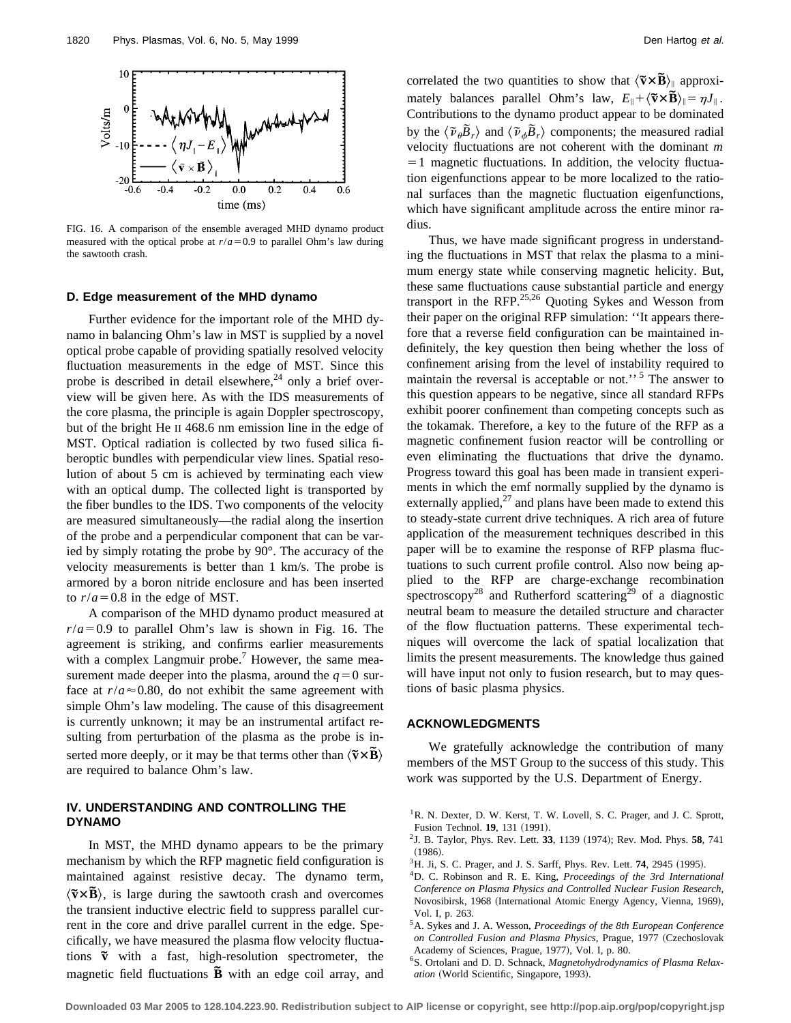

FIG. 16. A comparison of the ensemble averaged MHD dynamo product measured with the optical probe at  $r/a = 0.9$  to parallel Ohm's law during the sawtooth crash.

## **D. Edge measurement of the MHD dynamo**

Further evidence for the important role of the MHD dynamo in balancing Ohm's law in MST is supplied by a novel optical probe capable of providing spatially resolved velocity fluctuation measurements in the edge of MST. Since this probe is described in detail elsewhere, $^{24}$  only a brief overview will be given here. As with the IDS measurements of the core plasma, the principle is again Doppler spectroscopy, but of the bright He II 468.6 nm emission line in the edge of MST. Optical radiation is collected by two fused silica fiberoptic bundles with perpendicular view lines. Spatial resolution of about 5 cm is achieved by terminating each view with an optical dump. The collected light is transported by the fiber bundles to the IDS. Two components of the velocity are measured simultaneously—the radial along the insertion of the probe and a perpendicular component that can be varied by simply rotating the probe by 90°. The accuracy of the velocity measurements is better than 1 km/s. The probe is armored by a boron nitride enclosure and has been inserted to  $r/a = 0.8$  in the edge of MST.

A comparison of the MHD dynamo product measured at  $r/a = 0.9$  to parallel Ohm's law is shown in Fig. 16. The agreement is striking, and confirms earlier measurements with a complex Langmuir probe.<sup>7</sup> However, the same measurement made deeper into the plasma, around the  $q=0$  surface at  $r/a \approx 0.80$ , do not exhibit the same agreement with simple Ohm's law modeling. The cause of this disagreement is currently unknown; it may be an instrumental artifact resulting from perturbation of the plasma as the probe is inserted more deeply, or it may be that terms other than  $\langle \tilde{\mathbf{v}} \times \mathbf{B} \rangle$ are required to balance Ohm's law.

## **IV. UNDERSTANDING AND CONTROLLING THE DYNAMO**

In MST, the MHD dynamo appears to be the primary mechanism by which the RFP magnetic field configuration is maintained against resistive decay. The dynamo term,  $\langle \tilde{v} \times \tilde{B} \rangle$ , is large during the sawtooth crash and overcomes the transient inductive electric field to suppress parallel current in the core and drive parallel current in the edge. Specifically, we have measured the plasma flow velocity fluctuations  $\tilde{v}$  with a fast, high-resolution spectrometer, the magnetic field fluctuations **B** with an edge coil array, and correlated the two quantities to show that  $\langle \tilde{v} \times \tilde{B} \rangle$  approximately balances parallel Ohm's law,  $E_{\parallel} + \langle \tilde{\mathbf{v}} \times \tilde{\mathbf{B}} \rangle_{\parallel} = \eta J_{\parallel}$ . Contributions to the dynamo product appear to be dominated by the  $\langle \tilde{\nu}_{\theta} \tilde{B}_r \rangle$  and  $\langle \tilde{\nu}_{\phi} \tilde{B}_r \rangle$  components; the measured radial velocity fluctuations are not coherent with the dominant *m*  $=1$  magnetic fluctuations. In addition, the velocity fluctuation eigenfunctions appear to be more localized to the rational surfaces than the magnetic fluctuation eigenfunctions, which have significant amplitude across the entire minor radius.

Thus, we have made significant progress in understanding the fluctuations in MST that relax the plasma to a minimum energy state while conserving magnetic helicity. But, these same fluctuations cause substantial particle and energy transport in the RFP.25,26 Quoting Sykes and Wesson from their paper on the original RFP simulation: ''It appears therefore that a reverse field configuration can be maintained indefinitely, the key question then being whether the loss of confinement arising from the level of instability required to maintain the reversal is acceptable or not."<sup>5</sup> The answer to this question appears to be negative, since all standard RFPs exhibit poorer confinement than competing concepts such as the tokamak. Therefore, a key to the future of the RFP as a magnetic confinement fusion reactor will be controlling or even eliminating the fluctuations that drive the dynamo. Progress toward this goal has been made in transient experiments in which the emf normally supplied by the dynamo is externally applied, $^{27}$  and plans have been made to extend this to steady-state current drive techniques. A rich area of future application of the measurement techniques described in this paper will be to examine the response of RFP plasma fluctuations to such current profile control. Also now being applied to the RFP are charge-exchange recombination spectroscopy<sup>28</sup> and Rutherford scattering<sup>29</sup> of a diagnostic neutral beam to measure the detailed structure and character of the flow fluctuation patterns. These experimental techniques will overcome the lack of spatial localization that limits the present measurements. The knowledge thus gained will have input not only to fusion research, but to may questions of basic plasma physics.

## **ACKNOWLEDGMENTS**

We gratefully acknowledge the contribution of many members of the MST Group to the success of this study. This work was supported by the U.S. Department of Energy.

- <sup>1</sup>R. N. Dexter, D. W. Kerst, T. W. Lovell, S. C. Prager, and J. C. Sprott, Fusion Technol. **19**, 131 (1991).
- <sup>2</sup> J. B. Taylor, Phys. Rev. Lett. **33**, 1139 (1974); Rev. Mod. Phys. **58**, 741  $(1986).$
- <sup>3</sup>H. Ji, S. C. Prager, and J. S. Sarff, Phys. Rev. Lett. **74**, 2945 (1995).
- 4D. C. Robinson and R. E. King, *Proceedings of the 3rd International Conference on Plasma Physics and Controlled Nuclear Fusion Research*, Novosibirsk, 1968 (International Atomic Energy Agency, Vienna, 1969), Vol. I, p. 263.
- 5A. Sykes and J. A. Wesson, *Proceedings of the 8th European Conference* on Controlled Fusion and Plasma Physics, Prague, 1977 (Czechoslovak Academy of Sciences, Prague, 1977), Vol. I, p. 80.
- 6S. Ortolani and D. D. Schnack, *Magnetohydrodynamics of Plasma Relaxation* (World Scientific, Singapore, 1993).